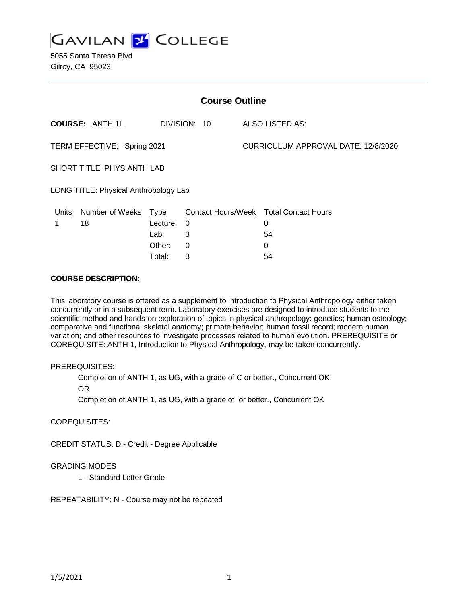

5055 Santa Teresa Blvd Gilroy, CA 95023

| <b>Course Outline</b>                 |                        |             |              |  |                                               |  |
|---------------------------------------|------------------------|-------------|--------------|--|-----------------------------------------------|--|
|                                       | <b>COURSE: ANTH 1L</b> |             | DIVISION: 10 |  | ALSO LISTED AS:                               |  |
| TERM EFFECTIVE: Spring 2021           |                        |             |              |  | CURRICULUM APPROVAL DATE: 12/8/2020           |  |
| SHORT TITLE: PHYS ANTH LAB            |                        |             |              |  |                                               |  |
| LONG TITLE: Physical Anthropology Lab |                        |             |              |  |                                               |  |
| Units                                 | <b>Number of Weeks</b> | <b>Type</b> |              |  | <b>Contact Hours/Week Total Contact Hours</b> |  |
| 1                                     | 18                     | Lecture:    | 0            |  | 0                                             |  |
|                                       |                        | Lab:        | 3            |  | 54                                            |  |
|                                       |                        | Other:      | 0            |  | 0                                             |  |

#### **COURSE DESCRIPTION:**

This laboratory course is offered as a supplement to Introduction to Physical Anthropology either taken concurrently or in a subsequent term. Laboratory exercises are designed to introduce students to the scientific method and hands-on exploration of topics in physical anthropology: genetics; human osteology; comparative and functional skeletal anatomy; primate behavior; human fossil record; modern human variation; and other resources to investigate processes related to human evolution. PREREQUISITE or COREQUISITE: ANTH 1, Introduction to Physical Anthropology, may be taken concurrently.

### PREREQUISITES:

Completion of ANTH 1, as UG, with a grade of C or better., Concurrent OK

Total: 3 54

OR

Completion of ANTH 1, as UG, with a grade of or better., Concurrent OK

### COREQUISITES:

CREDIT STATUS: D - Credit - Degree Applicable

### GRADING MODES

L - Standard Letter Grade

REPEATABILITY: N - Course may not be repeated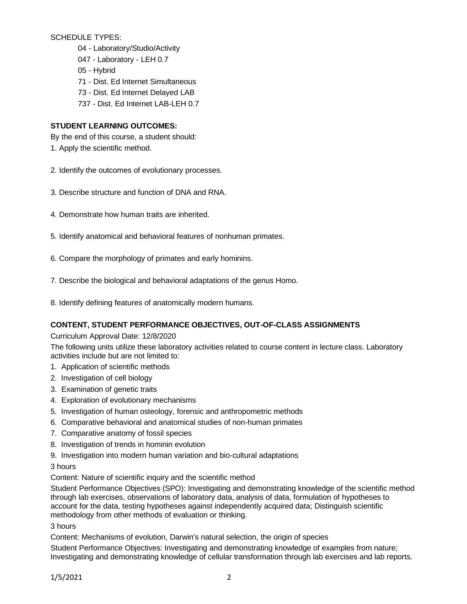SCHEDULE TYPES:

- 04 Laboratory/Studio/Activity
- 047 Laboratory LEH 0.7
- 05 Hybrid
- 71 Dist. Ed Internet Simultaneous
- 73 Dist. Ed Internet Delayed LAB
- 737 Dist. Ed Internet LAB-LEH 0.7

## **STUDENT LEARNING OUTCOMES:**

By the end of this course, a student should:

- 1. Apply the scientific method.
- 2. Identify the outcomes of evolutionary processes.
- 3. Describe structure and function of DNA and RNA.
- 4. Demonstrate how human traits are inherited.
- 5. Identify anatomical and behavioral features of nonhuman primates.
- 6. Compare the morphology of primates and early hominins.
- 7. Describe the biological and behavioral adaptations of the genus Homo.
- 8. Identify defining features of anatomically modern humans.

## **CONTENT, STUDENT PERFORMANCE OBJECTIVES, OUT-OF-CLASS ASSIGNMENTS**

### Curriculum Approval Date: 12/8/2020

The following units utilize these laboratory activities related to course content in lecture class. Laboratory activities include but are not limited to:

- 1. Application of scientific methods
- 2. Investigation of cell biology
- 3. Examination of genetic traits
- 4. Exploration of evolutionary mechanisms
- 5. Investigation of human osteology, forensic and anthropometric methods
- 6. Comparative behavioral and anatomical studies of non-human primates
- 7. Comparative anatomy of fossil species
- 8. Investigation of trends in hominin evolution
- 9. Investigation into modern human variation and bio-cultural adaptations

### 3 hours

Content: Nature of scientific inquiry and the scientific method

Student Performance Objectives (SPO): Investigating and demonstrating knowledge of the scientific method through lab exercises, observations of laboratory data, analysis of data, formulation of hypotheses to account for the data, testing hypotheses against independently acquired data; Distinguish scientific methodology from other methods of evaluation or thinking.

3 hours

Content: Mechanisms of evolution, Darwin's natural selection, the origin of species

Student Performance Objectives: Investigating and demonstrating knowledge of examples from nature; Investigating and demonstrating knowledge of cellular transformation through lab exercises and lab reports.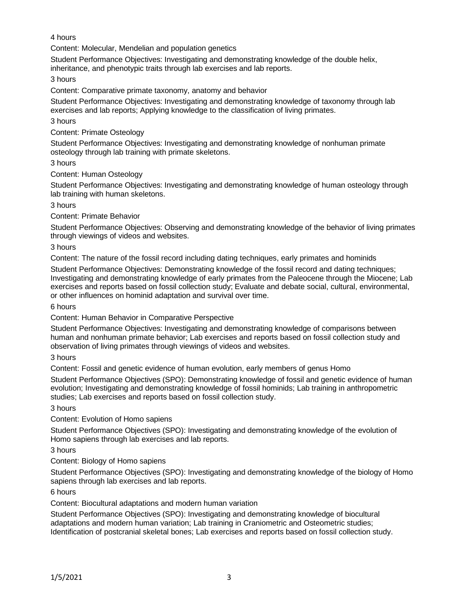## 4 hours

Content: Molecular, Mendelian and population genetics

Student Performance Objectives: Investigating and demonstrating knowledge of the double helix, inheritance, and phenotypic traits through lab exercises and lab reports.

3 hours

Content: Comparative primate taxonomy, anatomy and behavior

Student Performance Objectives: Investigating and demonstrating knowledge of taxonomy through lab exercises and lab reports; Applying knowledge to the classification of living primates.

3 hours

## Content: Primate Osteology

Student Performance Objectives: Investigating and demonstrating knowledge of nonhuman primate osteology through lab training with primate skeletons.

## 3 hours

Content: Human Osteology

Student Performance Objectives: Investigating and demonstrating knowledge of human osteology through lab training with human skeletons.

3 hours

Content: Primate Behavior

Student Performance Objectives: Observing and demonstrating knowledge of the behavior of living primates through viewings of videos and websites.

## 3 hours

Content: The nature of the fossil record including dating techniques, early primates and hominids

Student Performance Objectives: Demonstrating knowledge of the fossil record and dating techniques; Investigating and demonstrating knowledge of early primates from the Paleocene through the Miocene; Lab exercises and reports based on fossil collection study; Evaluate and debate social, cultural, environmental, or other influences on hominid adaptation and survival over time.

6 hours

Content: Human Behavior in Comparative Perspective

Student Performance Objectives: Investigating and demonstrating knowledge of comparisons between human and nonhuman primate behavior; Lab exercises and reports based on fossil collection study and observation of living primates through viewings of videos and websites.

### 3 hours

Content: Fossil and genetic evidence of human evolution, early members of genus Homo

Student Performance Objectives (SPO): Demonstrating knowledge of fossil and genetic evidence of human evolution; Investigating and demonstrating knowledge of fossil hominids; Lab training in anthropometric studies; Lab exercises and reports based on fossil collection study.

3 hours

Content: Evolution of Homo sapiens

Student Performance Objectives (SPO): Investigating and demonstrating knowledge of the evolution of Homo sapiens through lab exercises and lab reports.

3 hours

Content: Biology of Homo sapiens

Student Performance Objectives (SPO): Investigating and demonstrating knowledge of the biology of Homo sapiens through lab exercises and lab reports.

### 6 hours

Content: Biocultural adaptations and modern human variation

Student Performance Objectives (SPO): Investigating and demonstrating knowledge of biocultural adaptations and modern human variation; Lab training in Craniometric and Osteometric studies; Identification of postcranial skeletal bones; Lab exercises and reports based on fossil collection study.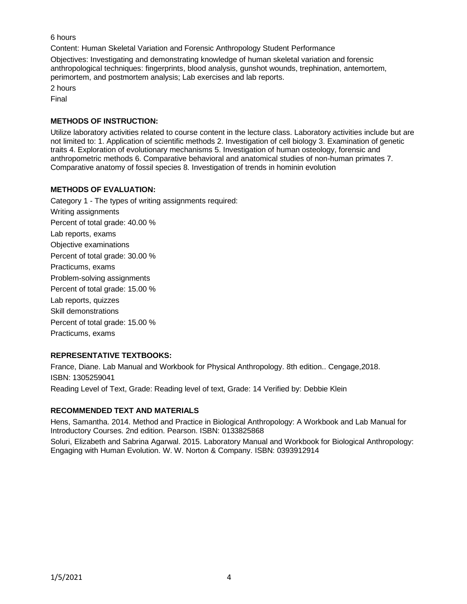6 hours

Content: Human Skeletal Variation and Forensic Anthropology Student Performance

Objectives: Investigating and demonstrating knowledge of human skeletal variation and forensic anthropological techniques: fingerprints, blood analysis, gunshot wounds, trephination, antemortem, perimortem, and postmortem analysis; Lab exercises and lab reports.

2 hours Final

## **METHODS OF INSTRUCTION:**

Utilize laboratory activities related to course content in the lecture class. Laboratory activities include but are not limited to: 1. Application of scientific methods 2. Investigation of cell biology 3. Examination of genetic traits 4. Exploration of evolutionary mechanisms 5. Investigation of human osteology, forensic and anthropometric methods 6. Comparative behavioral and anatomical studies of non-human primates 7. Comparative anatomy of fossil species 8. Investigation of trends in hominin evolution

## **METHODS OF EVALUATION:**

Category 1 - The types of writing assignments required: Writing assignments Percent of total grade: 40.00 % Lab reports, exams Objective examinations Percent of total grade: 30.00 % Practicums, exams Problem-solving assignments Percent of total grade: 15.00 % Lab reports, quizzes Skill demonstrations Percent of total grade: 15.00 % Practicums, exams

## **REPRESENTATIVE TEXTBOOKS:**

France, Diane. Lab Manual and Workbook for Physical Anthropology. 8th edition.. Cengage,2018. ISBN: 1305259041 Reading Level of Text, Grade: Reading level of text, Grade: 14 Verified by: Debbie Klein

# **RECOMMENDED TEXT AND MATERIALS**

Hens, Samantha. 2014. Method and Practice in Biological Anthropology: A Workbook and Lab Manual for Introductory Courses. 2nd edition. Pearson. ISBN: 0133825868

Soluri, Elizabeth and Sabrina Agarwal. 2015. Laboratory Manual and Workbook for Biological Anthropology: Engaging with Human Evolution. W. W. Norton & Company. ISBN: 0393912914